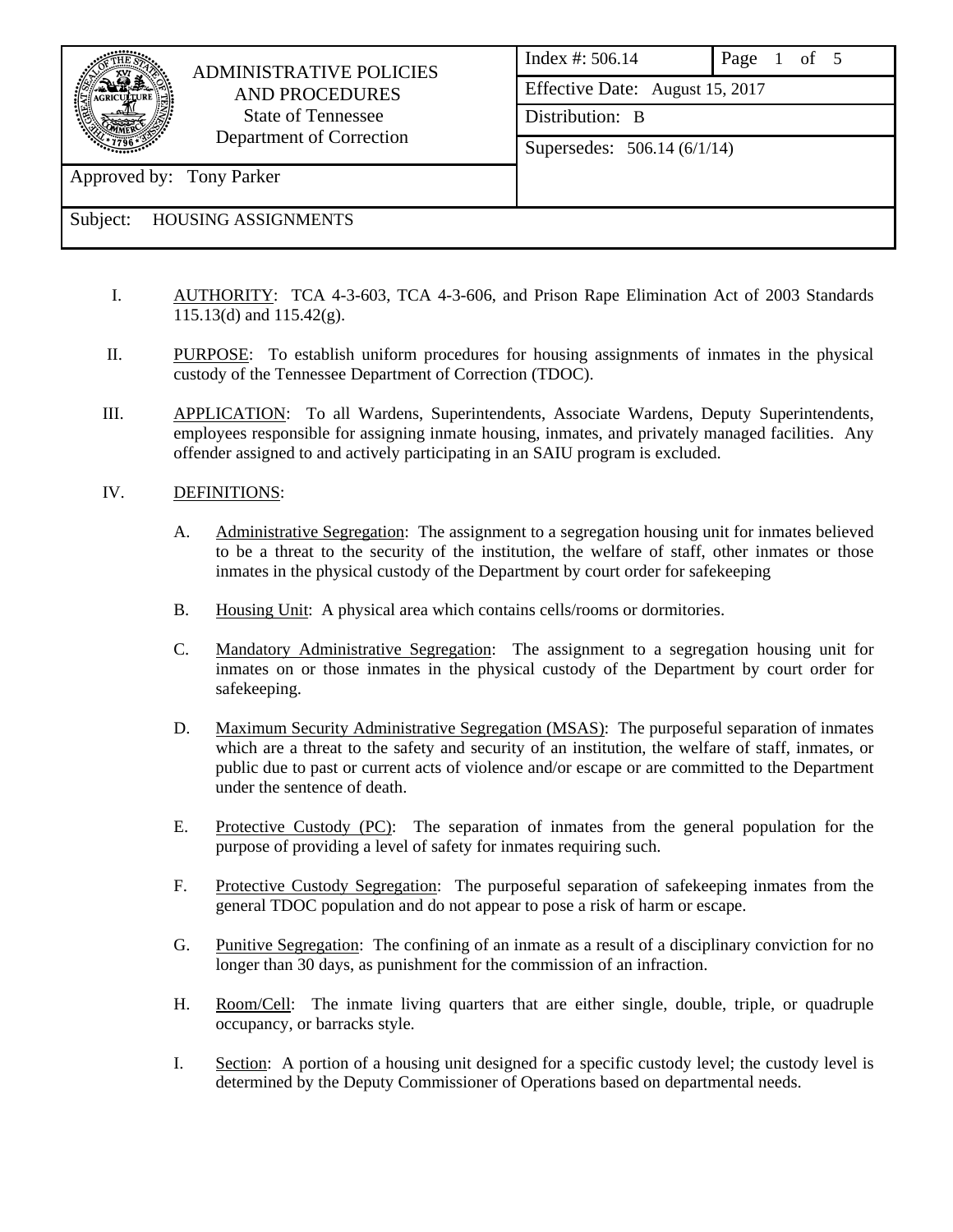

## ADMINISTRATIVE POLICIES AND PROCEDURES State of Tennessee Department of Correction

Index #: 506.14 Page 1 of 5 Effective Date: August 15, 2017 Distribution: B Supersedes: 506.14 (6/1/14)

Approved by: Tony Parker

# Subject: HOUSING ASSIGNMENTS

- I. AUTHORITY: TCA 4-3-603, TCA 4-3-606, and Prison Rape Elimination Act of 2003 Standards 115.13(d) and 115.42(g).
- II. PURPOSE: To establish uniform procedures for housing assignments of inmates in the physical custody of the Tennessee Department of Correction (TDOC).
- III. APPLICATION: To all Wardens, Superintendents, Associate Wardens, Deputy Superintendents, employees responsible for assigning inmate housing, inmates, and privately managed facilities. Any offender assigned to and actively participating in an SAIU program is excluded.

### IV. DEFINITIONS:

- A. Administrative Segregation: The assignment to a segregation housing unit for inmates believed to be a threat to the security of the institution, the welfare of staff, other inmates or those inmates in the physical custody of the Department by court order for safekeeping
- B. Housing Unit: A physical area which contains cells/rooms or dormitories.
- C. Mandatory Administrative Segregation: The assignment to a segregation housing unit for inmates on or those inmates in the physical custody of the Department by court order for safekeeping.
- D. Maximum Security Administrative Segregation (MSAS): The purposeful separation of inmates which are a threat to the safety and security of an institution, the welfare of staff, inmates, or public due to past or current acts of violence and/or escape or are committed to the Department under the sentence of death.
- E. Protective Custody (PC): The separation of inmates from the general population for the purpose of providing a level of safety for inmates requiring such.
- F. Protective Custody Segregation: The purposeful separation of safekeeping inmates from the general TDOC population and do not appear to pose a risk of harm or escape.
- G. Punitive Segregation: The confining of an inmate as a result of a disciplinary conviction for no longer than 30 days, as punishment for the commission of an infraction.
- H. Room/Cell: The inmate living quarters that are either single, double, triple, or quadruple occupancy, or barracks style.
- I. Section: A portion of a housing unit designed for a specific custody level; the custody level is determined by the Deputy Commissioner of Operations based on departmental needs.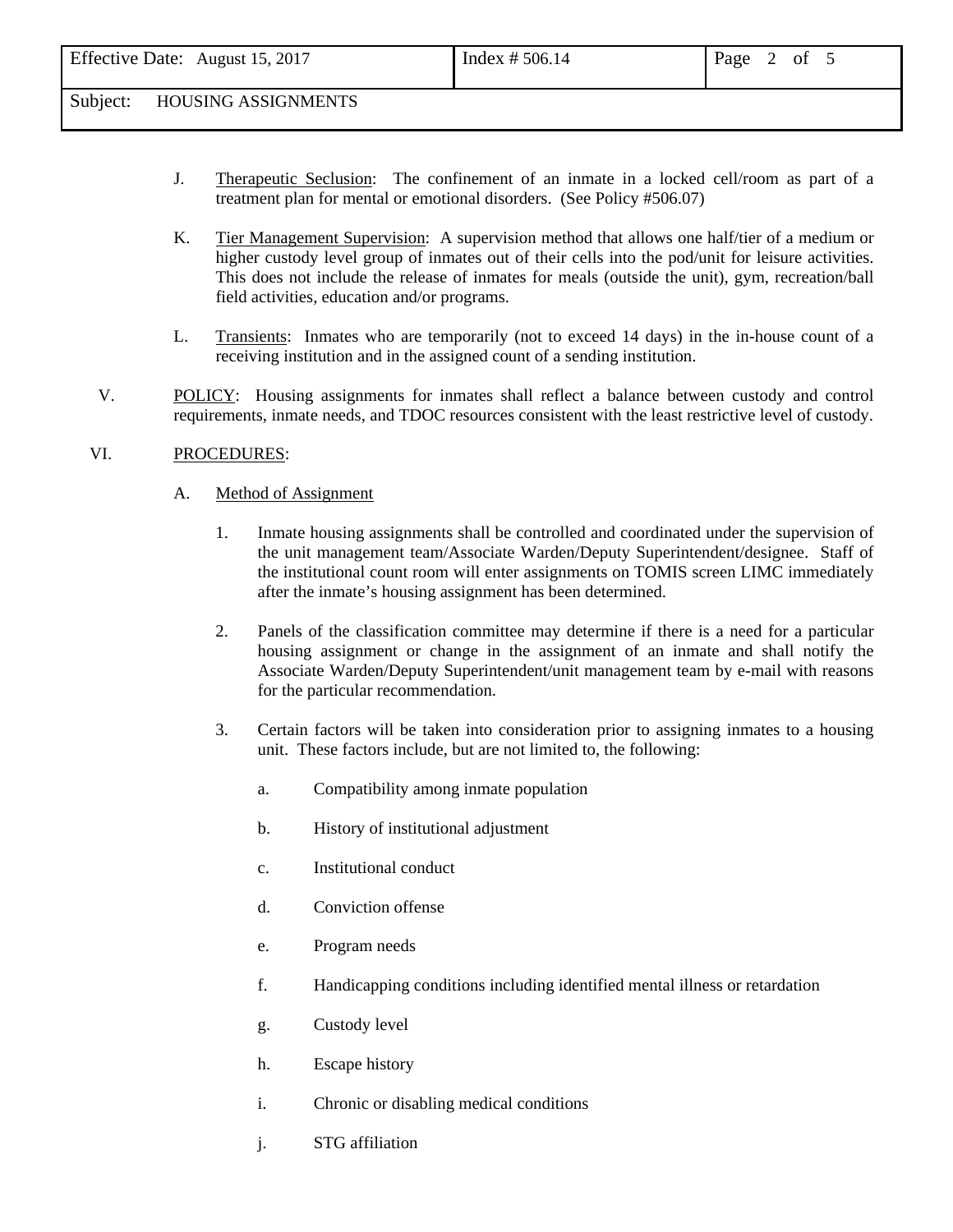- J. Therapeutic Seclusion: The confinement of an inmate in a locked cell/room as part of a treatment plan for mental or emotional disorders. (See Policy #506.07)
- K. Tier Management Supervision: A supervision method that allows one half/tier of a medium or higher custody level group of inmates out of their cells into the pod/unit for leisure activities. This does not include the release of inmates for meals (outside the unit), gym, recreation/ball field activities, education and/or programs.
- L. Transients: Inmates who are temporarily (not to exceed 14 days) in the in-house count of a receiving institution and in the assigned count of a sending institution.
- V. POLICY: Housing assignments for inmates shall reflect a balance between custody and control requirements, inmate needs, and TDOC resources consistent with the least restrictive level of custody.

### VI. PROCEDURES:

- A. Method of Assignment
	- 1. Inmate housing assignments shall be controlled and coordinated under the supervision of the unit management team/Associate Warden/Deputy Superintendent/designee. Staff of the institutional count room will enter assignments on TOMIS screen LIMC immediately after the inmate's housing assignment has been determined.
	- 2. Panels of the classification committee may determine if there is a need for a particular housing assignment or change in the assignment of an inmate and shall notify the Associate Warden/Deputy Superintendent/unit management team by e-mail with reasons for the particular recommendation.
	- 3. Certain factors will be taken into consideration prior to assigning inmates to a housing unit. These factors include, but are not limited to, the following:
		- a. Compatibility among inmate population
		- b. History of institutional adjustment
		- c. Institutional conduct
		- d. Conviction offense
		- e. Program needs
		- f. Handicapping conditions including identified mental illness or retardation
		- g. Custody level
		- h. Escape history
		- i. Chronic or disabling medical conditions
		- j. STG affiliation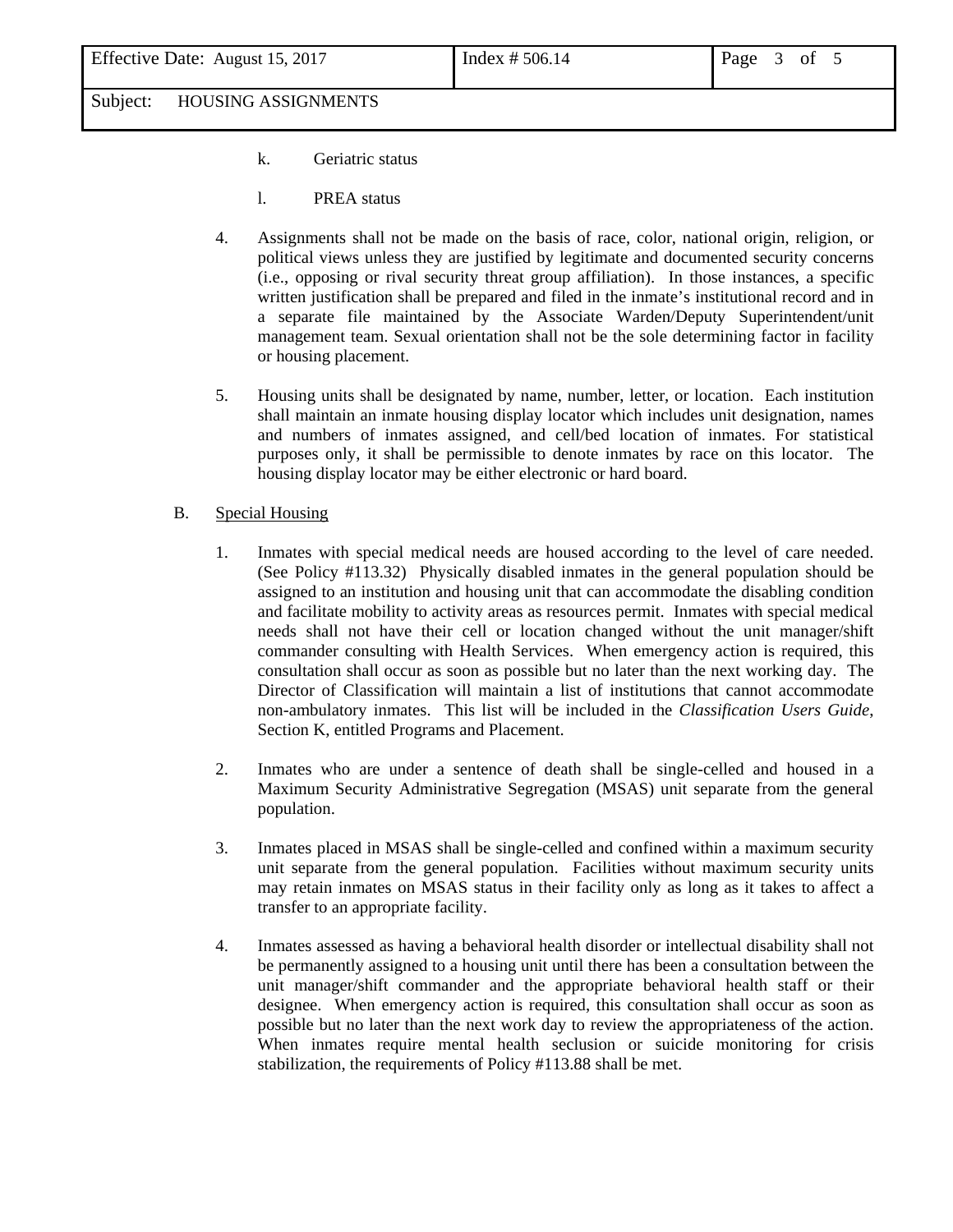- k. Geriatric status
- l. PREA status
- 4. Assignments shall not be made on the basis of race, color, national origin, religion, or political views unless they are justified by legitimate and documented security concerns (i.e., opposing or rival security threat group affiliation). In those instances, a specific written justification shall be prepared and filed in the inmate's institutional record and in a separate file maintained by the Associate Warden/Deputy Superintendent/unit management team. Sexual orientation shall not be the sole determining factor in facility or housing placement.
- 5. Housing units shall be designated by name, number, letter, or location. Each institution shall maintain an inmate housing display locator which includes unit designation, names and numbers of inmates assigned, and cell/bed location of inmates. For statistical purposes only, it shall be permissible to denote inmates by race on this locator. The housing display locator may be either electronic or hard board.
- B. Special Housing
	- 1. Inmates with special medical needs are housed according to the level of care needed. (See Policy #113.32) Physically disabled inmates in the general population should be assigned to an institution and housing unit that can accommodate the disabling condition and facilitate mobility to activity areas as resources permit. Inmates with special medical needs shall not have their cell or location changed without the unit manager/shift commander consulting with Health Services. When emergency action is required, this consultation shall occur as soon as possible but no later than the next working day. The Director of Classification will maintain a list of institutions that cannot accommodate non-ambulatory inmates. This list will be included in the *Classification Users Guide*, Section K, entitled Programs and Placement.
	- 2. Inmates who are under a sentence of death shall be single-celled and housed in a Maximum Security Administrative Segregation (MSAS) unit separate from the general population.
	- 3. Inmates placed in MSAS shall be single-celled and confined within a maximum security unit separate from the general population. Facilities without maximum security units may retain inmates on MSAS status in their facility only as long as it takes to affect a transfer to an appropriate facility.
	- 4. Inmates assessed as having a behavioral health disorder or intellectual disability shall not be permanently assigned to a housing unit until there has been a consultation between the unit manager/shift commander and the appropriate behavioral health staff or their designee. When emergency action is required, this consultation shall occur as soon as possible but no later than the next work day to review the appropriateness of the action. When inmates require mental health seclusion or suicide monitoring for crisis stabilization, the requirements of Policy #113.88 shall be met.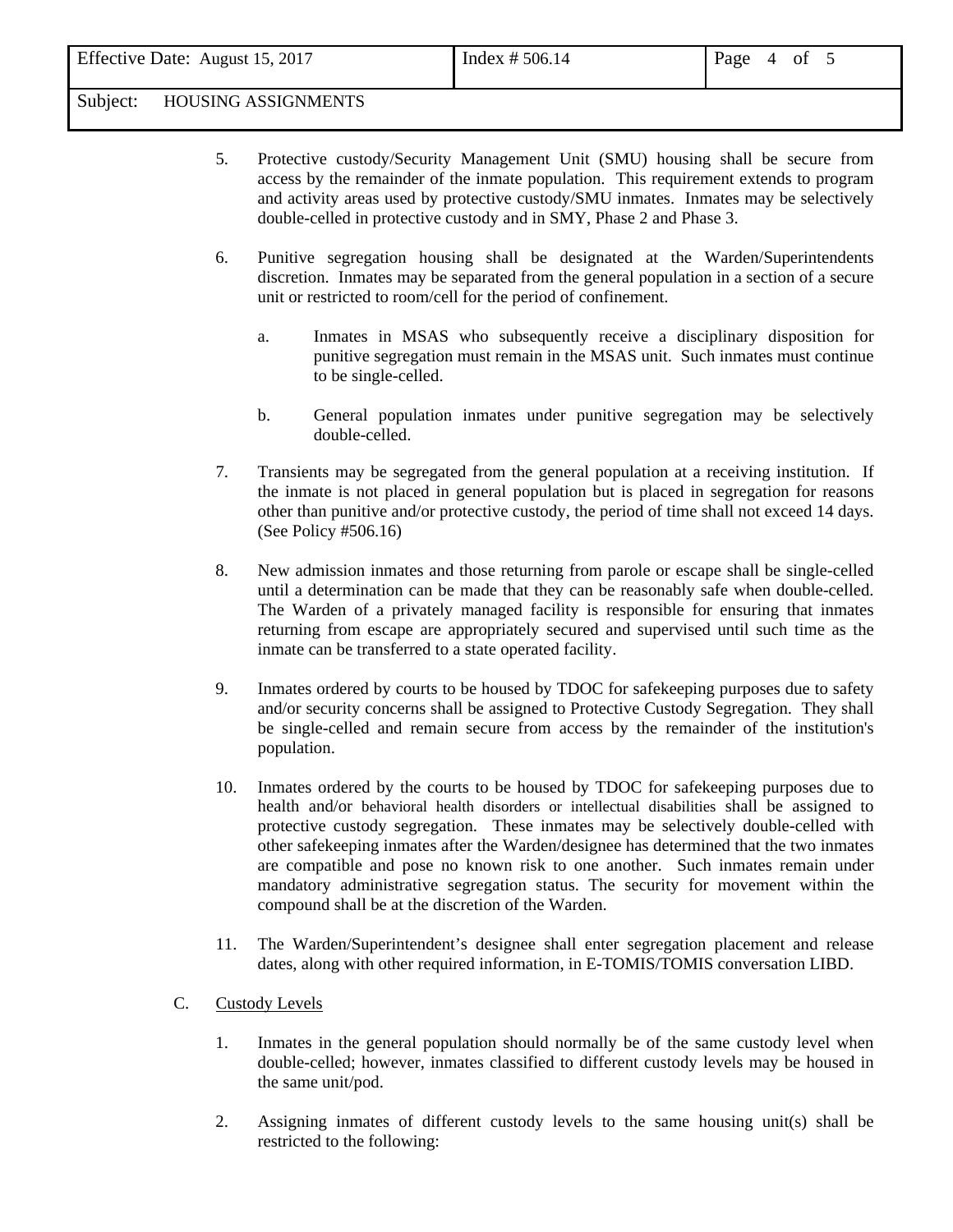- 5. Protective custody/Security Management Unit (SMU) housing shall be secure from access by the remainder of the inmate population. This requirement extends to program and activity areas used by protective custody/SMU inmates. Inmates may be selectively double-celled in protective custody and in SMY, Phase 2 and Phase 3.
- 6. Punitive segregation housing shall be designated at the Warden/Superintendents discretion. Inmates may be separated from the general population in a section of a secure unit or restricted to room/cell for the period of confinement.
	- a. Inmates in MSAS who subsequently receive a disciplinary disposition for punitive segregation must remain in the MSAS unit. Such inmates must continue to be single-celled.
	- b. General population inmates under punitive segregation may be selectively double-celled.
- 7. Transients may be segregated from the general population at a receiving institution. If the inmate is not placed in general population but is placed in segregation for reasons other than punitive and/or protective custody, the period of time shall not exceed 14 days. (See Policy #506.16)
- 8. New admission inmates and those returning from parole or escape shall be single-celled until a determination can be made that they can be reasonably safe when double-celled. The Warden of a privately managed facility is responsible for ensuring that inmates returning from escape are appropriately secured and supervised until such time as the inmate can be transferred to a state operated facility.
- 9. Inmates ordered by courts to be housed by TDOC for safekeeping purposes due to safety and/or security concerns shall be assigned to Protective Custody Segregation. They shall be single-celled and remain secure from access by the remainder of the institution's population.
- 10. Inmates ordered by the courts to be housed by TDOC for safekeeping purposes due to health and/or behavioral health disorders or intellectual disabilities shall be assigned to protective custody segregation. These inmates may be selectively double-celled with other safekeeping inmates after the Warden/designee has determined that the two inmates are compatible and pose no known risk to one another. Such inmates remain under mandatory administrative segregation status. The security for movement within the compound shall be at the discretion of the Warden.
- 11. The Warden/Superintendent's designee shall enter segregation placement and release dates, along with other required information, in E-TOMIS/TOMIS conversation LIBD.
- C. Custody Levels
	- 1. Inmates in the general population should normally be of the same custody level when double-celled; however, inmates classified to different custody levels may be housed in the same unit/pod.
	- 2. Assigning inmates of different custody levels to the same housing unit(s) shall be restricted to the following: